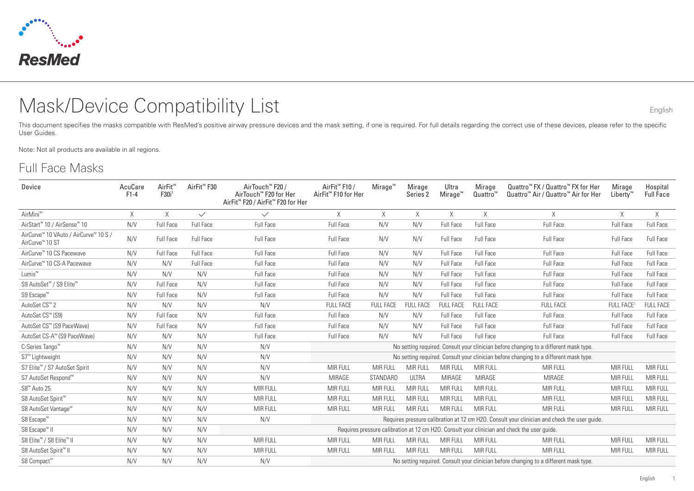

# Mask/Device Compatibility List English

This document specifies the masks compatible with ResMed's positive airway pressure devices and the mask setting, if one is required. For full details regarding the correct use of these devices, please refer to the specific User Guides.

Note: Not all products are available in all regions.

#### Full Face Masks

| Device                                                               | AcuCare<br>$F1-4$ | AirFit <sup>™</sup><br>F30i | AirFit <sup>™</sup> F30 | AirTouch™ F20 /<br>AirTouch™ F20 for Her<br>AirFit <sup>™</sup> F20 / AirFit <sup>™</sup> F20 for Her | AirFit <sup>™</sup> F10 /<br>AirFit <sup>™</sup> F10 for Her | $M$ irage <sup>"</sup> | Mirage<br>Series 2 | Ultra<br>$M$ irage <sup><math>m</math></sup> | Mirage<br>Quattro <sup>w</sup> | Quattro <sup>™</sup> FX / Quattro™ FX for Her<br>Quattro <sup>™</sup> Air / Quattro <sup>™</sup> Air for Her | Mirage<br>Liberty <sup>™</sup> | Hospital<br><b>Full Face</b> |
|----------------------------------------------------------------------|-------------------|-----------------------------|-------------------------|-------------------------------------------------------------------------------------------------------|--------------------------------------------------------------|------------------------|--------------------|----------------------------------------------|--------------------------------|--------------------------------------------------------------------------------------------------------------|--------------------------------|------------------------------|
| AirMini <sup>™</sup>                                                 | X                 | X                           | $\checkmark$            | $\checkmark$                                                                                          | X                                                            | X                      | X                  | X                                            | X                              | X                                                                                                            | $\times$                       | $\times$                     |
| AirStart <sup>™</sup> 10 / AirSense™ 10                              | N/V               | Full Face                   | Full Face               | Full Face                                                                                             | Full Face                                                    | N/V                    | N/V                | Full Face                                    | Full Face                      | Full Face                                                                                                    | Full Face                      | Full Face                    |
| AirCurve™ 10 VAuto / AirCurve™ 10 S /<br>AirCurve <sup>™</sup> 10 ST | N/V               | <b>Full Face</b>            | Full Face               | <b>Full Face</b>                                                                                      | Full Face                                                    | N/V                    | N/V                | Full Face                                    | Full Face                      | Full Face                                                                                                    | <b>Full Face</b>               | <b>Full Face</b>             |
| AirCurve™ 10 CS Pacewave                                             | N/V               | Full Face                   | Full Face               | Full Face                                                                                             | Full Face                                                    | N/V                    | N/V                | Full Face                                    | Full Face                      | Full Face                                                                                                    | Full Face                      | Full Face                    |
| AirCurve <sup>™</sup> 10 CS-A Pacewave                               | N/V               | N/V                         | Full Face               | Full Face                                                                                             | Full Face                                                    | N/V                    | N/V                | Full Face                                    | Full Face                      | Full Face                                                                                                    | Full Face                      | <b>Full Face</b>             |
| Lumis <sup>™</sup>                                                   | N/V               | N/V                         | N/V                     | Full Face                                                                                             | Full Face                                                    | N/V                    | N/V                | Full Face                                    | <b>Full Face</b>               | Full Face                                                                                                    | <b>Full Face</b>               | Full Face                    |
| S9 AutoSet™ / S9 Elite™                                              | N/V               | <b>Full Face</b>            | N/V                     | Full Face                                                                                             | Full Face                                                    | N/V                    | N/V                | Full Face                                    | Full Face                      | Full Face                                                                                                    | <b>Full Face</b>               | Full Face                    |
| S9 Escape <sup>™</sup>                                               | N/V               | Full Face                   | N/V                     | Full Face                                                                                             | Full Face                                                    | N/V                    | N/V                | Full Face                                    | Full Face                      | Full Face                                                                                                    | <b>Full Face</b>               | Full Face                    |
| AutoSet CS <sup>™</sup> 2                                            | N/V               | N/V                         | N/V                     | N/V                                                                                                   | <b>FULL FACE</b>                                             | <b>FULL FACE</b>       | <b>FULL FACE</b>   | <b>FULL FACE</b>                             | <b>FULL FACE</b>               | <b>FULL FACE</b>                                                                                             | <b>FULL FACE</b>               | <b>FULL FACE</b>             |
| AutoSet CS™ (S9)                                                     | N/V               | <b>Full Face</b>            | N/V                     | <b>Full Face</b>                                                                                      | Full Face                                                    | N/V                    | N/V                | Full Face                                    | Full Face                      | Full Face                                                                                                    | <b>Full Face</b>               | <b>Full Face</b>             |
| AutoSet CS™ (S9 PaceWave)                                            | N/V               | <b>Full Face</b>            | N/V                     | Full Face                                                                                             | <b>Full Face</b>                                             | N/V                    | N/V                | Full Face                                    | Full Face                      | Full Face                                                                                                    | Full Face                      | Full Face                    |
| AutoSet CS-A™ (S9 PaceWave)                                          | N/V               | N/V                         | N/V                     | Full Face                                                                                             | Full Face                                                    | N/V                    | N/V                | Full Face                                    | Full Face                      | Full Face                                                                                                    | Full Face                      | Full Face                    |
| C-Series Tango <sup>®</sup>                                          | N/V               | N/V                         | N/V                     | N/V                                                                                                   |                                                              |                        |                    |                                              |                                | No setting required. Consult your clinician before changing to a different mask type.                        |                                |                              |
| S7 <sup>™</sup> Lightweight                                          | N/V               | N/V                         | N/V                     | N/V                                                                                                   |                                                              |                        |                    |                                              |                                | No setting required. Consult your clinician before changing to a different mask type.                        |                                |                              |
| S7 Elite™ / S7 AutoSet Spirit                                        | N/V               | N/V                         | N/V                     | N/V                                                                                                   | <b>MIR FULL</b>                                              | <b>MIR FULL</b>        | MIR FULL           | MIR FULL                                     | <b>MIR FULL</b>                | MIR FULL                                                                                                     | <b>MIR FULL</b>                | MIR FULL                     |
| S7 AutoSet Respond™                                                  | N/V               | N/V                         | N/V                     | N/V                                                                                                   | <b>MIRAGE</b>                                                | STANDARD               | <b>ULTRA</b>       | <b>MIRAGE</b>                                | <b>MIRAGE</b>                  | MIRAGE                                                                                                       | <b>MIR FULL</b>                | <b>MIR FULL</b>              |
| S8 <sup>™</sup> Auto 25                                              | N/V               | N/V                         | N/V                     | MIR FULL                                                                                              | <b>MIR FULL</b>                                              | MIR FULL               | MIR FULL           | MIR FULL                                     | <b>MIR FULL</b>                | MIR FULL                                                                                                     | <b>MIR FULL</b>                | MIR FULL                     |
| S8 AutoSet Spirit <sup>™</sup>                                       | N/V               | N/V                         | N/V                     | MIR FULL                                                                                              | MIR FULL                                                     | MIR FULL               | MIR FULL           | MIR FULL                                     | <b>MIR FULL</b>                | MIR FULL                                                                                                     | <b>MIR FULL</b>                | MIR FULL                     |
| S8 AutoSet Vantage™                                                  | N/V               | N/V                         | N/V                     | MIR FULL                                                                                              | MIR FULL                                                     | MIR FULL               | <b>MIR FULL</b>    | MIR FULL                                     | <b>MIR FULL</b>                | MIR FULL                                                                                                     | <b>MIR FULL</b>                | MIR FULL                     |
| S8 Escape <sup>™</sup>                                               | N/V               | N/V                         | N/V                     | N/V                                                                                                   |                                                              |                        |                    |                                              |                                | Requires pressure calibration at 12 cm H2O. Consult your clinician and check the user quide.                 |                                |                              |
| S8 Escape™ II                                                        | N/V               | N/V                         | N/V                     |                                                                                                       |                                                              |                        |                    |                                              |                                | Requires pressure calibration at 12 cm H2O. Consult your clinician and check the user quide.                 |                                |                              |
| S8 Elite™ / S8 Elite™ II                                             | N/V               | N/V                         | N/V                     | MIR FULL                                                                                              | <b>MIR FULL</b>                                              | <b>MIR FULL</b>        | MIR FULL           | MIR FULL                                     | <b>MIR FULL</b>                | MIR FULL                                                                                                     | MIR FULL                       | MIR FULL                     |
| S8 AutoSet Spirit <sup>™</sup> II                                    | N/V               | N/V                         | N/V                     | MIR FULL                                                                                              | <b>MIR FULL</b>                                              | MIR FULL               | MIR FULL           | MIR FULL                                     | MIR FULL                       | MIR FULL                                                                                                     | MIR FULL                       | <b>MIR FULL</b>              |
| S8 Compact™                                                          | N/V               | N/V                         | N/V                     | N/V                                                                                                   |                                                              |                        |                    |                                              |                                | No setting required. Consult your clinician before changing to a different mask type.                        |                                |                              |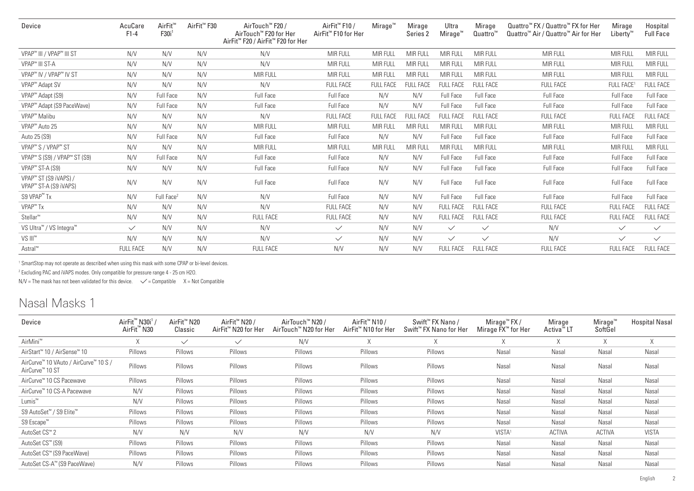| Device                                                     | AcuCare<br>F1-4  | AirFit <sup>™</sup><br>F30i <sup>1</sup> | AirFit <sup>™</sup> F30 | AirTouch™ F20 /<br>AirTouch™ F20 for Her<br>AirFit <sup>™</sup> F20 / AirFit <sup>™</sup> F20 for Her | AirFit <sup>™</sup> F10 /<br>AirFit <sup>™</sup> F10 for Her | $M$ irage <sup>"</sup> | Mirage<br>Series 2 | Ultra<br>Mirage <sup>™</sup> | Mirage<br>Quattro™ | Quattro <sup>™</sup> FX / Quattro™ FX for Her<br>Quattro <sup>™</sup> Air / Quattro™ Air for Her | Mirage<br>$Libertv^{\mathsf{w}}$ | Hospital<br><b>Full Face</b> |
|------------------------------------------------------------|------------------|------------------------------------------|-------------------------|-------------------------------------------------------------------------------------------------------|--------------------------------------------------------------|------------------------|--------------------|------------------------------|--------------------|--------------------------------------------------------------------------------------------------|----------------------------------|------------------------------|
| VPAP <sup>™</sup> III / VPAP™ III ST                       | N/V              | N/V                                      | N/V                     | N/V                                                                                                   | <b>MIR FULL</b>                                              | MIR FULL               | <b>MIR FULL</b>    | MIR FULL                     | <b>MIR FULL</b>    | MIR FULL                                                                                         | MIR FULL                         | MIR FULL                     |
| VPAP <sup>™</sup> III ST-A                                 | N/V              | N/V                                      | N/V                     | N/V                                                                                                   | MIR FULL                                                     | <b>MIR FULL</b>        | <b>MIR FULL</b>    | <b>MIR FULL</b>              | MIR FULL           | MIR FULL                                                                                         | <b>MIR FULL</b>                  | <b>MIR FULL</b>              |
| VPAP <sup>™</sup> IV / VPAP™ IV ST                         | N/V              | N/V                                      | N/V                     | <b>MIR FULL</b>                                                                                       | MIR FULL                                                     | MIR FULL               | MIR FULL           | MIR FULL                     | MIR FULL           | MIR FULL                                                                                         | <b>MIR FULL</b>                  | <b>MIR FULL</b>              |
| VPAP <sup>™</sup> Adapt SV                                 | N/V              | N/V                                      | N/V                     | N/V                                                                                                   | <b>FULL FACE</b>                                             | <b>FULL FACE</b>       | <b>FULL FACE</b>   | <b>FULL FACE</b>             | <b>FULL FACE</b>   | <b>FULL FACE</b>                                                                                 | <b>FULL FACE</b>                 | <b>FULL FACE</b>             |
| VPAP <sup>™</sup> Adapt (S9)                               | N/V              | <b>Full Face</b>                         | N/V                     | Full Face                                                                                             | <b>Full Face</b>                                             | N/V                    | N/V                | Full Face                    | Full Face          | <b>Full Face</b>                                                                                 | Full Face                        | <b>Full Face</b>             |
| VPAP <sup>™</sup> Adapt (S9 PaceWave)                      | N/V              | <b>Full Face</b>                         | N/V                     | Full Face                                                                                             | <b>Full Face</b>                                             | N/V                    | N/V                | Full Face                    | Full Face          | Full Face                                                                                        | <b>Full Face</b>                 | <b>Full Face</b>             |
| VPAP <sup>™</sup> Malibu                                   | N/V              | N/V                                      | N/V                     | N/V                                                                                                   | <b>FULL FACE</b>                                             | <b>FULL FACE</b>       | <b>FULL FACE</b>   | <b>FULL FACE</b>             | <b>FULL FACE</b>   | <b>FULL FACE</b>                                                                                 | <b>FULL FACE</b>                 | <b>FULL FACE</b>             |
| VPAP <sup>™</sup> Auto 25                                  | N/V              | N/V                                      | N/V                     | <b>MIR FULL</b>                                                                                       | <b>MIR FULL</b>                                              | <b>MIR FULL</b>        | MIR FULL           | <b>MIR FULL</b>              | MIR FULL           | MIR FULL                                                                                         | <b>MIR FULL</b>                  | <b>MIR FULL</b>              |
| Auto 25 (S9)                                               | N/V              | <b>Full Face</b>                         | N/V                     | Full Face                                                                                             | <b>Full Face</b>                                             | N/V                    | N/V                | Full Face                    | Full Face          | <b>Full Face</b>                                                                                 | <b>Full Face</b>                 | <b>Full Face</b>             |
| VPAP <sup>™</sup> S / VPAP <sup>™</sup> ST                 | N/V              | N/V                                      | N/V                     | MIR FULL                                                                                              | MIR FULL                                                     | <b>MIR FULL</b>        | MIR FULL           | <b>MIR FULL</b>              | MIR FULL           | MIR FULL                                                                                         | <b>MIR FULL</b>                  | <b>MIR FULL</b>              |
| VPAP <sup>™</sup> S (S9) / VPAP <sup>™</sup> ST (S9)       | N/V              | <b>Full Face</b>                         | N/V                     | Full Face                                                                                             | <b>Full Face</b>                                             | N/V                    | N/V                | Full Face                    | <b>Full Face</b>   | <b>Full Face</b>                                                                                 | <b>Full Face</b>                 | <b>Full Face</b>             |
| VPAP <sup>™</sup> ST-A (S9)                                | N/V              | N/V                                      | N/V                     | Full Face                                                                                             | <b>Full Face</b>                                             | N/V                    | N/V                | Full Face                    | Full Face          | Full Face                                                                                        | Full Face                        | <b>Full Face</b>             |
| VPAP™ ST (S9 iVAPS) /<br>VPAP <sup>™</sup> ST-A (S9 iVAPS) | N/V              | N/V                                      | N/V                     | Full Face                                                                                             | <b>Full Face</b>                                             | N/V                    | N/V                | Full Face                    | Full Face          | <b>Full Face</b>                                                                                 | <b>Full Face</b>                 | <b>Full Face</b>             |
| S9 VPAP <sup>™</sup> Tx                                    | N/V              | Full Face <sup>2</sup>                   | N/V                     | N/V                                                                                                   | Full Face                                                    | N/V                    | N/V                | Full Face                    | Full Face          | <b>Full Face</b>                                                                                 | <b>Full Face</b>                 | Full Face                    |
| VPAP <sup>™</sup> Tx                                       | N/V              | N/V                                      | N/V                     | N/V                                                                                                   | <b>FULL FACE</b>                                             | N/V                    | N/V                | <b>FULL FACE</b>             | <b>FULL FACE</b>   | <b>FULL FACE</b>                                                                                 | <b>FULL FACE</b>                 | <b>FULL FACE</b>             |
| Stellar <sup>™</sup>                                       | N/V              | N/V                                      | N/V                     | <b>FULL FACE</b>                                                                                      | <b>FULL FACE</b>                                             | N/V                    | N/V                | <b>FULL FACE</b>             | <b>FULL FACE</b>   | <b>FULL FACE</b>                                                                                 | <b>FULL FACE</b>                 | <b>FULL FACE</b>             |
| VS Ultra <sup>™</sup> / VS Integra <sup>™</sup>            | $\checkmark$     | N/V                                      | N/V                     | N/V                                                                                                   | $\checkmark$                                                 | N/V                    | N/V                | $\checkmark$                 | $\checkmark$       | N/V                                                                                              | $\checkmark$                     | $\checkmark$                 |
| VS III <sup>™</sup>                                        | N/V              | N/V                                      | N/V                     | N/V                                                                                                   | $\checkmark$                                                 | N/V                    | N/V                | $\checkmark$                 | $\checkmark$       | N/V                                                                                              | $\checkmark$                     | $\checkmark$                 |
| Astral <sup>™</sup>                                        | <b>FULL FACE</b> | N/V                                      | N/V                     | <b>FULL FACE</b>                                                                                      | N/V                                                          | N/V                    | N/V                | <b>FULL FACE</b>             | <b>FULL FACE</b>   | <b>FULL FACE</b>                                                                                 | <b>FULL FACE</b>                 | <b>FULL FACE</b>             |

1 SmartStop may not operate as described when using this mask with some CPAP or bi-level devices.

2 Excluding PAC and iVAPS modes. Only compatible for pressure range 4 - 25 cm H2O.

 $N/V$  = The mask has not been validated for this device.  $\checkmark$  = Compatible X = Not Compatible

### Nasal Masks 1

| Device                                                               | AirFit <sup>™</sup> N30i <sup>1</sup> /<br>AirFit <sup>"</sup> N30 | AirFit <sup>™</sup> N20<br>Classic | AirFit <sup>™</sup> N20 /<br>AirFit™ N20 for Her | AirTouch™ N20 /<br>AirTouch™ N20 for Her | AirFit <sup>™</sup> N10 /<br>AirFit <sup>™</sup> N10 for Her | Swift <sup>™</sup> FX Nano /<br>Swift <sup>™</sup> FX Nano for Her | Mirage <sup>™</sup> FX /<br>Mirage FX <sup>™</sup> for Her | Mirage<br>Activa <sup>™</sup> LT | Mirage <sup>w</sup><br>SoftGel | Hospital Nasal |
|----------------------------------------------------------------------|--------------------------------------------------------------------|------------------------------------|--------------------------------------------------|------------------------------------------|--------------------------------------------------------------|--------------------------------------------------------------------|------------------------------------------------------------|----------------------------------|--------------------------------|----------------|
| AirMini <sup>™</sup>                                                 | X                                                                  | $\checkmark$                       | $\checkmark$                                     | N/V                                      | X                                                            | X                                                                  |                                                            | X                                | X                              | X              |
| AirStart <sup>™</sup> 10 / AirSense <sup>™</sup> 10                  | Pillows                                                            | Pillows                            | Pillows                                          | Pillows                                  | Pillows                                                      | Pillows                                                            | Nasal                                                      | Nasal                            | Nasal                          | Nasal          |
| AirCurve™ 10 VAuto / AirCurve™ 10 S /<br>AirCurve <sup>™</sup> 10 ST | Pillows                                                            | Pillows                            | Pillows                                          | Pillows                                  | Pillows                                                      | Pillows                                                            | Nasal                                                      | Nasal                            | Nasal                          | Nasal          |
| AirCurve™ 10 CS Pacewave                                             | Pillows                                                            | Pillows                            | Pillows                                          | Pillows                                  | Pillows                                                      | Pillows                                                            | Nasal                                                      | Nasal                            | Nasal                          | Nasal          |
| AirCurve™ 10 CS-A Pacewave                                           | N/V                                                                | Pillows                            | Pillows                                          | Pillows                                  | Pillows                                                      | Pillows                                                            | Nasal                                                      | Nasal                            | Nasal                          | Nasal          |
| Lumis <sup>™</sup>                                                   | N/V                                                                | Pillows                            | Pillows                                          | Pillows                                  | Pillows                                                      | Pillows                                                            | Nasal                                                      | Nasal                            | Nasal                          | Nasal          |
| S9 AutoSet™ / S9 Elite™                                              | Pillows                                                            | Pillows                            | Pillows                                          | Pillows                                  | Pillows                                                      | Pillows                                                            | Nasal                                                      | Nasal                            | Nasal                          | Nasal          |
| S9 Escape <sup>™</sup>                                               | Pillows                                                            | Pillows                            | Pillows                                          | Pillows                                  | Pillows                                                      | Pillows                                                            | Nasal                                                      | Nasal                            | Nasal                          | Nasal          |
| AutoSet CS <sup>™</sup> 2                                            | N/V                                                                | N/V                                | N/V                                              | N/V                                      | N/V                                                          | N/V                                                                | VISTA <sup>1</sup>                                         | <b>ACTIVA</b>                    | <b>ACTIVA</b>                  | <b>VISTA</b>   |
| AutoSet CS™ (S9)                                                     | Pillows                                                            | Pillows                            | Pillows                                          | Pillows                                  | Pillows                                                      | Pillows                                                            | Nasal                                                      | Nasal                            | Nasal                          | Nasal          |
| AutoSet CS™ (S9 PaceWave)                                            | Pillows                                                            | Pillows                            | Pillows                                          | Pillows                                  | Pillows                                                      | Pillows                                                            | Nasal                                                      | Nasal                            | Nasal                          | Nasal          |
| AutoSet CS-A™ (S9 PaceWave)                                          | N/V                                                                | Pillows                            | Pillows                                          | Pillows                                  | Pillows                                                      | Pillows                                                            | Nasal                                                      | Nasal                            | Nasal                          | Nasal          |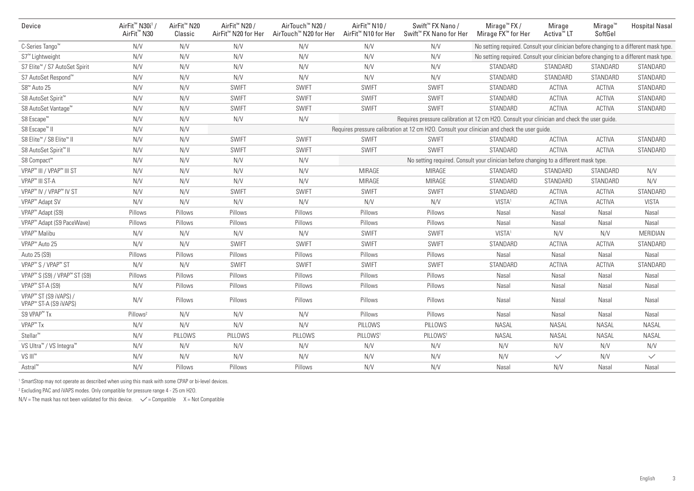| Device                                                                 | AirFit <sup>™</sup> N30i <sup>1</sup> /<br>AirFit <sup>™</sup> N30 | AirFit <sup>™</sup> N20<br>Classic | AirFit <sup>™</sup> N20 /<br>AirFit™ N20 for Her | AirTouch™ N20 /<br>AirTouch™ N20 for Her                                                     | AirFit <sup>™</sup> N10 /<br>AirFit™ N10 for Her | Swift <sup>™</sup> FX Nano /<br>Swift <sup>™</sup> FX Nano for Her                           | Mirage <sup>™</sup> FX /<br>Mirage FX <sup>™</sup> for Her                            | Mirage<br>Activa <sup>™</sup> LT | Mirage <sup><math>w</math></sup><br>SoftGel | <b>Hospital Nasal</b> |
|------------------------------------------------------------------------|--------------------------------------------------------------------|------------------------------------|--------------------------------------------------|----------------------------------------------------------------------------------------------|--------------------------------------------------|----------------------------------------------------------------------------------------------|---------------------------------------------------------------------------------------|----------------------------------|---------------------------------------------|-----------------------|
| C-Series Tango <sup>™</sup>                                            | N/V                                                                | N/V                                | N/V                                              | N/V                                                                                          | N/V                                              | N/V                                                                                          | No setting required. Consult your clinician before changing to a different mask type. |                                  |                                             |                       |
| S7 <sup>™</sup> Lightweight                                            | N/V                                                                | N/V                                | N/V                                              | N/V                                                                                          | N/V                                              | N/V                                                                                          | No setting required. Consult your clinician before changing to a different mask type. |                                  |                                             |                       |
| S7 Elite™ / S7 AutoSet Spirit                                          | N/V                                                                | N/V                                | N/V                                              | N/V                                                                                          | N/V                                              | N/V                                                                                          | STANDARD                                                                              | STANDARD                         | STANDARD                                    | STANDARD              |
| S7 AutoSet Respond™                                                    | N/V                                                                | N/V                                | N/V                                              | N/V                                                                                          | N/V                                              | N/V                                                                                          | STANDARD                                                                              | STANDARD                         | STANDARD                                    | STANDARD              |
| S8 <sup>™</sup> Auto 25                                                | N/V                                                                | N/V                                | <b>SWIFT</b>                                     | <b>SWIFT</b>                                                                                 | <b>SWIFT</b>                                     | <b>SWIFT</b>                                                                                 | STANDARD                                                                              | <b>ACTIVA</b>                    | ACTIVA                                      | STANDARD              |
| S8 AutoSet Spirit <sup>™</sup>                                         | N/V                                                                | N/V                                | <b>SWIFT</b>                                     | SWIFT                                                                                        | <b>SWIFT</b>                                     | <b>SWIFT</b>                                                                                 | STANDARD                                                                              | <b>ACTIVA</b>                    | <b>ACTIVA</b>                               | STANDARD              |
| S8 AutoSet Vantage™                                                    | N/V                                                                | N/V                                | <b>SWIFT</b>                                     | <b>SWIFT</b>                                                                                 | <b>SWIFT</b>                                     | <b>SWIFT</b>                                                                                 | STANDARD                                                                              | <b>ACTIVA</b>                    | <b>ACTIVA</b>                               | STANDARD              |
| S8 Escape <sup>™</sup>                                                 | N/V                                                                | N/V                                | N/V                                              | N/V                                                                                          |                                                  | Requires pressure calibration at 12 cm H2O. Consult your clinician and check the user guide. |                                                                                       |                                  |                                             |                       |
| S8 Escape <sup>™</sup> II                                              | N/V                                                                | N/V                                |                                                  |                                                                                              |                                                  | Requires pressure calibration at 12 cm H2O. Consult your clinician and check the user quide. |                                                                                       |                                  |                                             |                       |
| S8 Elite™ / S8 Elite™ II                                               | N/V                                                                | N/V                                | <b>SWIFT</b>                                     | SWIFT                                                                                        | <b>SWIFT</b>                                     | <b>SWIFT</b>                                                                                 | STANDARD                                                                              | <b>ACTIVA</b>                    | <b>ACTIVA</b>                               | STANDARD              |
| S8 AutoSet Spirit™ II                                                  | N/V                                                                | N/V                                | <b>SWIFT</b>                                     | <b>SWIFT</b>                                                                                 | <b>SWIFT</b>                                     | <b>SWIFT</b>                                                                                 | STANDARD                                                                              | <b>ACTIVA</b>                    | <b>ACTIVA</b>                               | STANDARD              |
| S8 Compact™                                                            | N/V                                                                | N/V                                | N/V                                              | No setting required. Consult your clinician before changing to a different mask type.<br>N/V |                                                  |                                                                                              |                                                                                       |                                  |                                             |                       |
| VPAP™ III / VPAP™ III ST                                               | N/V                                                                | N/V                                | N/V                                              | N/V                                                                                          | MIRAGE                                           | <b>MIRAGE</b>                                                                                | STANDARD                                                                              | STANDARD                         | STANDARD                                    | N/V                   |
| VPAP <sup>™</sup> III ST-A                                             | N/V                                                                | N/V                                | N/V                                              | N/V                                                                                          | <b>MIRAGE</b>                                    | <b>MIRAGE</b>                                                                                | STANDARD                                                                              | STANDARD                         | STANDARD                                    | N/V                   |
| VPAP <sup>™</sup> IV / VPAP <sup>™</sup> IV ST                         | N/V                                                                | N/V                                | <b>SWIFT</b>                                     | <b>SWIFT</b>                                                                                 | <b>SWIFT</b>                                     | <b>SWIFT</b>                                                                                 | STANDARD                                                                              | <b>ACTIVA</b>                    | <b>ACTIVA</b>                               | STANDARD              |
| VPAP <sup>™</sup> Adapt SV                                             | N/V                                                                | N/V                                | N/V                                              | N/V                                                                                          | N/V                                              | N/V                                                                                          | VISTA <sup>1</sup>                                                                    | <b>ACTIVA</b>                    | <b>ACTIVA</b>                               | <b>VISTA</b>          |
| VPAP <sup>™</sup> Adapt (S9)                                           | Pillows                                                            | Pillows                            | Pillows                                          | Pillows                                                                                      | Pillows                                          | Pillows                                                                                      | Nasal                                                                                 | Nasal                            | Nasal                                       | Nasal                 |
| VPAP <sup>™</sup> Adapt (S9 PaceWave)                                  | Pillows                                                            | Pillows                            | Pillows                                          | Pillows                                                                                      | Pillows                                          | Pillows                                                                                      | Nasal                                                                                 | Nasal                            | Nasal                                       | Nasal                 |
| VPAP <sup>™</sup> Malibu                                               | N/V                                                                | N/V                                | N/V                                              | N/V                                                                                          | SWIFT                                            | <b>SWIFT</b>                                                                                 | VISTA <sup>1</sup>                                                                    | N/V                              | N/V                                         | MERIDIAN              |
| VPAP <sup>™</sup> Auto 25                                              | N/V                                                                | N/V                                | <b>SWIFT</b>                                     | SWIFT                                                                                        | <b>SWIFT</b>                                     | <b>SWIFT</b>                                                                                 | STANDARD                                                                              | <b>ACTIVA</b>                    | <b>ACTIVA</b>                               | STANDARD              |
| Auto 25 (S9)                                                           | Pillows                                                            | Pillows                            | Pillows                                          | Pillows                                                                                      | Pillows                                          | Pillows                                                                                      | Nasal                                                                                 | Nasal                            | Nasal                                       | Nasal                 |
| VPAP <sup>™</sup> S / VPAP <sup>™</sup> ST                             | N/V                                                                | N/V                                | <b>SWIFT</b>                                     | SWIFT                                                                                        | <b>SWIFT</b>                                     | <b>SWIFT</b>                                                                                 | STANDARD                                                                              | <b>ACTIVA</b>                    | <b>ACTIVA</b>                               | STANDARD              |
| VPAP <sup>™</sup> S (S9) / VPAP <sup>™</sup> ST (S9)                   | Pillows                                                            | Pillows                            | Pillows                                          | Pillows                                                                                      | Pillows                                          | Pillows                                                                                      | Nasal                                                                                 | Nasal                            | Nasal                                       | Nasal                 |
| VPAP <sup>™</sup> ST-A (S9)                                            | N/V                                                                | Pillows                            | Pillows                                          | Pillows                                                                                      | Pillows                                          | Pillows                                                                                      | Nasal                                                                                 | Nasal                            | Nasal                                       | Nasal                 |
| VPAP <sup>™</sup> ST (S9 iVAPS) /<br>VPAP <sup>™</sup> ST-A (S9 iVAPS) | N/V                                                                | Pillows                            | Pillows                                          | Pillows                                                                                      | Pillows                                          | Pillows                                                                                      | Nasal                                                                                 | Nasal                            | Nasal                                       | Nasal                 |
| S9 VPAP <sup>™</sup> Tx                                                | Pillows <sup>2</sup>                                               | N/V                                | N/V                                              | N/V                                                                                          | Pillows                                          | Pillows                                                                                      | Nasal                                                                                 | Nasal                            | Nasal                                       | Nasal                 |
| VPAP <sup>™</sup> Tx                                                   | N/V                                                                | N/V                                | N/V                                              | N/V                                                                                          | PILLOWS                                          | PILLOWS                                                                                      | <b>NASAL</b>                                                                          | <b>NASAL</b>                     | <b>NASAL</b>                                | <b>NASAL</b>          |
| Stellar <sup>™</sup>                                                   | N/V                                                                | PILLOWS                            | PILLOWS                                          | PILLOWS                                                                                      | PILLOWS <sup>1</sup>                             | PILLOWS <sup>1</sup>                                                                         | <b>NASAL</b>                                                                          | <b>NASAL</b>                     | <b>NASAL</b>                                | <b>NASAL</b>          |
| VS Ultra <sup>™</sup> / VS Integra <sup>™</sup>                        | N/V                                                                | N/V                                | N/V                                              | N/V                                                                                          | N/V                                              | N/V                                                                                          | N/V                                                                                   | N/V                              | N/V                                         | N/V                   |
| VS III <sup>™</sup>                                                    | N/V                                                                | N/V                                | N/V                                              | N/V                                                                                          | N/V                                              | N/V                                                                                          | N/V                                                                                   | $\checkmark$                     | N/V                                         | $\checkmark$          |
| Astral™                                                                | N/V                                                                | Pillows                            | Pillows                                          | Pillows                                                                                      | N/V                                              | N/V                                                                                          | Nasal                                                                                 | N/V                              | Nasal                                       | Nasal                 |

<sup>1</sup> SmartStop may not operate as described when using this mask with some CPAP or bi-level devices.

2 Excluding PAC and iVAPS modes. Only compatible for pressure range 4 - 25 cm H2O.

 $N/V$  = The mask has not been validated for this device.  $\checkmark$  = Compatible X = Not Compatible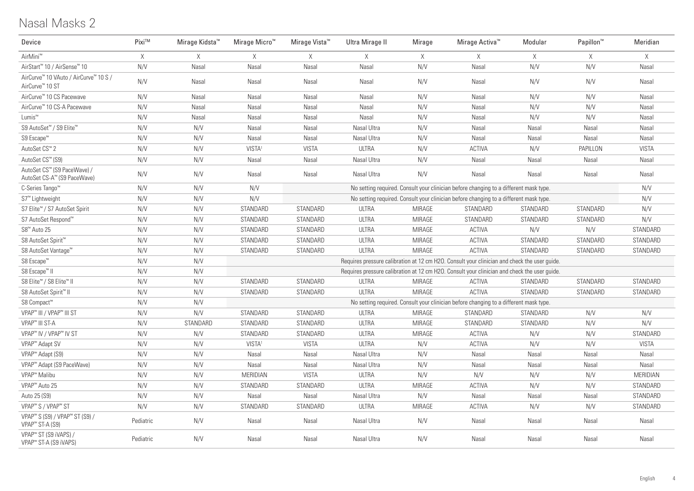## Nasal Masks 2

| Device                                                                                | Pixi™     | Mirage Kidsta <sup>™</sup> | Mirage Micro <sup>™</sup> | Mirage Vista <sup>™</sup> | Ultra Mirage II | Mirage        | Mirage Activa <sup>™</sup>                                                                   | Modular  | Papillon <sup>™</sup> | Meridian     |
|---------------------------------------------------------------------------------------|-----------|----------------------------|---------------------------|---------------------------|-----------------|---------------|----------------------------------------------------------------------------------------------|----------|-----------------------|--------------|
| AirMini <sup>™</sup>                                                                  | X         | X                          | X                         | $\times$                  | X               | X             | X                                                                                            | $\times$ | $\times$              | $\times$     |
| AirStart <sup>™</sup> 10 / AirSense <sup>™</sup> 10                                   | N/V       | Nasal                      | Nasal                     | Nasal                     | Nasal           | N/V           | Nasal                                                                                        | N/V      | N/V                   | Nasal        |
| AirCurve™ 10 VAuto / AirCurve™ 10 S /<br>AirCurve <sup>™</sup> 10 ST                  | N/V       | Nasal                      | Nasal                     | Nasal                     | Nasal           | N/V           | Nasal                                                                                        | N/V      | N/V                   | Nasal        |
| AirCurve™ 10 CS Pacewave                                                              | N/V       | Nasal                      | Nasal                     | Nasal                     | Nasal           | N/V           | Nasal                                                                                        | N/V      | N/V                   | Nasal        |
| AirCurve™ 10 CS-A Pacewave                                                            | N/V       | Nasal                      | Nasal                     | Nasal                     | Nasal           | N/V           | Nasal                                                                                        | N/V      | N/V                   | Nasal        |
| Lumis <sup>™</sup>                                                                    | N/V       | Nasal                      | Nasal                     | Nasal                     | Nasal           | N/V           | Nasal                                                                                        | N/V      | N/V                   | Nasal        |
| S9 AutoSet™ / S9 Elite™                                                               | N/V       | N/V                        | Nasal                     | Nasal                     | Nasal Ultra     | N/V           | Nasal                                                                                        | Nasal    | Nasal                 | Nasal        |
| S9 Escape <sup>™</sup>                                                                | N/V       | N/V                        | Nasal                     | Nasal                     | Nasal Ultra     | N/V           | Nasal                                                                                        | Nasal    | Nasal                 | Nasal        |
| AutoSet CS <sup>™</sup> 2                                                             | N/V       | N/V                        | VISTA <sup>1</sup>        | <b>VISTA</b>              | <b>ULTRA</b>    | N/V           | <b>ACTIVA</b>                                                                                | N/V      | PAPILLON              | <b>VISTA</b> |
| AutoSet CS™ (S9)                                                                      | N/V       | N/V                        | Nasal                     | Nasal                     | Nasal Ultra     | N/V           | Nasal                                                                                        | Nasal    | Nasal                 | Nasal        |
| AutoSet CS™ (S9 PaceWave) /<br>AutoSet CS-A™ (S9 PaceWave)                            | N/V       | N/V                        | Nasal                     | Nasal                     | Nasal Ultra     | N/V           | Nasal                                                                                        | Nasal    | Nasal                 | Nasal        |
| C-Series Tango <sup>™</sup>                                                           | N/V       | N/V                        | N/V                       |                           |                 |               | No setting required. Consult your clinician before changing to a different mask type.        |          |                       | N/V          |
| S7 <sup>™</sup> Lightweight                                                           | N/V       | N/V                        | N/V                       |                           |                 |               | No setting required. Consult your clinician before changing to a different mask type.        |          |                       | N/V          |
| S7 Elite™ / S7 AutoSet Spirit                                                         | N/V       | N/V                        | STANDARD                  | STANDARD                  | <b>ULTRA</b>    | <b>MIRAGE</b> | STANDARD                                                                                     | STANDARD | STANDARD              | N/V          |
| S7 AutoSet Respond™                                                                   | N/V       | N/V                        | STANDARD                  | STANDARD                  | <b>ULTRA</b>    | MIRAGE        | STANDARD                                                                                     | STANDARD | STANDARD              | N/V          |
| S8 <sup>™</sup> Auto 25                                                               | N/V       | N/V                        | STANDARD                  | STANDARD                  | <b>ULTRA</b>    | MIRAGE        | ACTIVA                                                                                       | N/V      | N/V                   | STANDARD     |
| S8 AutoSet Spirit <sup>™</sup>                                                        | N/V       | N/V                        | STANDARD                  | STANDARD                  | <b>ULTRA</b>    | MIRAGE        | ACTIVA                                                                                       | STANDARD | STANDARD              | STANDARD     |
| S8 AutoSet Vantage™                                                                   | N/V       | N/V                        | STANDARD                  | STANDARD                  | <b>ULTRA</b>    | MIRAGE        | <b>ACTIVA</b>                                                                                | STANDARD | STANDARD              | STANDARD     |
| S8 Escape <sup>™</sup>                                                                | N/V       | N/V                        |                           |                           |                 |               | Requires pressure calibration at 12 cm H2O. Consult your clinician and check the user quide. |          |                       |              |
| S8 Escape <sup>™</sup> II                                                             | N/V       | N/V                        |                           |                           |                 |               | Requires pressure calibration at 12 cm H2O. Consult your clinician and check the user guide. |          |                       |              |
| S8 Elite™ / S8 Elite™ II                                                              | N/V       | N/V                        | STANDARD                  | STANDARD                  | ULTRA           | <b>MIRAGE</b> | <b>ACTIVA</b>                                                                                | STANDARD | STANDARD              | STANDARD     |
| S8 AutoSet Spirit <sup>™</sup> II                                                     | N/V       | N/V                        | STANDARD                  | STANDARD                  | <b>ULTRA</b>    | MIRAGE        | <b>ACTIVA</b>                                                                                | STANDARD | STANDARD              | STANDARD     |
| S8 Compact™                                                                           | N/V       | N/V                        |                           |                           |                 |               | No setting required. Consult your clinician before changing to a different mask type.        |          |                       |              |
| VPAP <sup>™</sup> III / VPAP <sup>™</sup> III ST                                      | N/V       | N/V                        | STANDARD                  | STANDARD                  | <b>ULTRA</b>    | MIRAGE        | STANDARD                                                                                     | STANDARD | N/V                   | N/V          |
| VPAP <sup>™</sup> III ST-A                                                            | N/V       | STANDARD                   | STANDARD                  | STANDARD                  | <b>ULTRA</b>    | MIRAGE        | STANDARD                                                                                     | STANDARD | N/V                   | N/V          |
| VPAP <sup>™</sup> IV / VPAP™ IV ST                                                    | N/V       | N/V                        | STANDARD                  | STANDARD                  | <b>ULTRA</b>    | MIRAGE        | ACTIVA                                                                                       | N/V      | N/V                   | STANDARD     |
| VPAP <sup>™</sup> Adapt SV                                                            | N/V       | N/V                        | VISTA <sup>1</sup>        | <b>VISTA</b>              | <b>ULTRA</b>    | N/V           | <b>ACTIVA</b>                                                                                | N/V      | N/V                   | <b>VISTA</b> |
| VPAP <sup>™</sup> Adapt (S9)                                                          | N/V       | N/V                        | Nasal                     | Nasal                     | Nasal Ultra     | N/V           | Nasal                                                                                        | Nasal    | Nasal                 | Nasal        |
| VPAP <sup>™</sup> Adapt (S9 PaceWave)                                                 | N/V       | N/V                        | Nasal                     | Nasal                     | Nasal Ultra     | N/V           | Nasal                                                                                        | Nasal    | Nasal                 | Nasal        |
| VPAP <sup>™</sup> Malibu                                                              | N/V       | N/V                        | MERIDIAN                  | <b>VISTA</b>              | <b>ULTRA</b>    | N/V           | N/V                                                                                          | N/V      | N/V                   | MERIDIAN     |
| VPAP <sup>™</sup> Auto 25                                                             | N/V       | N/V                        | STANDARD                  | STANDARD                  | <b>ULTRA</b>    | MIRAGE        | ACTIVA                                                                                       | N/V      | N/V                   | STANDARD     |
| Auto 25 (S9)                                                                          | N/V       | N/V                        | Nasal                     | Nasal                     | Nasal Ultra     | N/V           | Nasal                                                                                        | Nasal    | Nasal                 | STANDARD     |
| VPAP <sup>™</sup> S / VPAP <sup>™</sup> ST                                            | N/V       | N/V                        | STANDARD                  | STANDARD                  | <b>ULTRA</b>    | <b>MIRAGE</b> | <b>ACTIVA</b>                                                                                | N/V      | N/V                   | STANDARD     |
| VPAP <sup>™</sup> S (S9) / VPAP <sup>™</sup> ST (S9) /<br>VPAP <sup>™</sup> ST-A (S9) | Pediatric | N/V                        | Nasal                     | Nasal                     | Nasal Ultra     | N/V           | Nasal                                                                                        | Nasal    | Nasal                 | Nasal        |
| VPAP <sup>™</sup> ST (S9 iVAPS) /<br>VPAP <sup>™</sup> ST-A (S9 iVAPS)                | Pediatric | N/V                        | Nasal                     | Nasal                     | Nasal Ultra     | N/V           | Nasal                                                                                        | Nasal    | Nasal                 | Nasal        |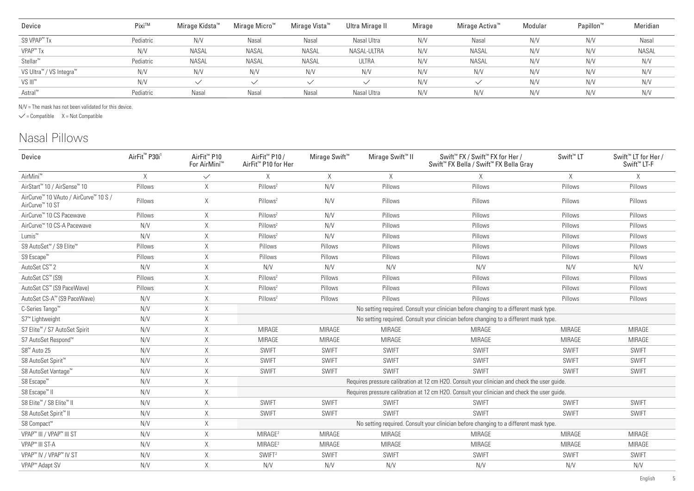| Device                  | Pixi™     | Mirage Kidsta™ | Mirage Micro <sup>™</sup> | Mirage Vista™ | Ultra Mirage II | Mirage | Mirage Activa™ | Modular | Papillon <sup>w</sup> | Meridian |
|-------------------------|-----------|----------------|---------------------------|---------------|-----------------|--------|----------------|---------|-----------------------|----------|
| S9 VPAP <sup>™</sup> Tx | Pediatric | N/V            | Nasal                     | Nasal         | Nasal Ultra     | N/V    | Nasal          | N/V     | N/V                   | Nasal    |
| VPAP <sup>™</sup> Tx    | N/V       | <b>NASAL</b>   | <b>NASAL</b>              | <b>NASAL</b>  | NASAL-ULTRA     | N/V    | <b>NASAL</b>   | N/V     | N/V                   | NASAL    |
| Stellar™                | Pediatric | <b>NASAL</b>   | <b>NASAL</b>              | <b>NASAL</b>  | ULTRA           | N/V    | <b>NASAL</b>   | N/V     | N/V                   | N/V      |
| VS Ultra™ / VS Integra™ | N/V       | N/V            | N/V                       | N/V           | N/V             | N/V    | N/V            | N/V     | N/V                   | N/V      |
| VS III™                 | N/V       | $\checkmark$   |                           |               |                 | N/V    | $\checkmark$   | N/V     | N/V                   | N/V      |
| Astral <sup>™</sup>     | Pediatric | Nasal          | Nasal                     | Nasal         | Nasal Ultra     | N/V    | N/V            | N/V     | N/V                   | N/V      |

N/V = The mask has not been validated for this device.

 $\checkmark$  = Compatible  $X$  = Not Compatible

### Nasal Pillows

| Device                                                               | AirFit <sup>™</sup> P30i <sup>1</sup> | AirFit <sup>™</sup> P10<br>For AirMini™ | AirFit <sup>™</sup> P10 /<br>AirFit <sup>™</sup> P10 for Her                          | Mirage Swift <sup>™</sup> | Mirage Swift <sup>™</sup> II | Swift <sup>™</sup> FX / Swift <sup>™</sup> FX for Her /<br>Swift <sup>™</sup> FX Bella / Swift <sup>™</sup> FX Bella Gray | Swift <sup>™</sup> LT | Swift <sup>™</sup> LT for Her /<br>Swift <sup>™</sup> LT-F |  |  |  |  |
|----------------------------------------------------------------------|---------------------------------------|-----------------------------------------|---------------------------------------------------------------------------------------|---------------------------|------------------------------|---------------------------------------------------------------------------------------------------------------------------|-----------------------|------------------------------------------------------------|--|--|--|--|
| AirMini <sup>™</sup>                                                 | $\times$                              | $\checkmark$                            | $\times$                                                                              | X                         | $\times$                     | $\times$                                                                                                                  | X                     | $\times$                                                   |  |  |  |  |
| AirStart <sup>™</sup> 10 / AirSense™ 10                              | Pillows                               | $\mathsf X$                             | Pillows <sup>2</sup>                                                                  | N/V                       | Pillows                      | Pillows                                                                                                                   | Pillows               | Pillows                                                    |  |  |  |  |
| AirCurve™ 10 VAuto / AirCurve™ 10 S /<br>AirCurve <sup>™</sup> 10 ST | Pillows                               | X                                       | Pillows <sup>2</sup>                                                                  | N/V                       | Pillows                      | Pillows                                                                                                                   | Pillows               | Pillows                                                    |  |  |  |  |
| AirCurve™ 10 CS Pacewave                                             | Pillows                               | X                                       | Pillows <sup>2</sup>                                                                  | N/V                       | Pillows                      | Pillows                                                                                                                   | Pillows               | Pillows                                                    |  |  |  |  |
| AirCurve™ 10 CS-A Pacewave                                           | N/V                                   | $\times$                                | Pillows <sup>2</sup>                                                                  | N/V                       | Pillows                      | Pillows                                                                                                                   | Pillows               | Pillows                                                    |  |  |  |  |
| Lumis <sup>™</sup>                                                   | N/V                                   | X                                       | Pillows <sup>2</sup>                                                                  | N/V                       | Pillows                      | Pillows                                                                                                                   | Pillows               | Pillows                                                    |  |  |  |  |
| S9 AutoSet™ / S9 Elite™                                              | Pillows                               | X                                       | Pillows                                                                               | Pillows                   | Pillows                      | Pillows                                                                                                                   | Pillows               | Pillows                                                    |  |  |  |  |
| S9 Escape <sup>™</sup>                                               | Pillows                               | X                                       | Pillows                                                                               | Pillows                   | Pillows                      | Pillows                                                                                                                   | Pillows               | Pillows                                                    |  |  |  |  |
| AutoSet CS <sup>™</sup> 2                                            | N/V                                   | X                                       | N/V                                                                                   | N/V                       | N/V                          | N/V                                                                                                                       | N/V                   | N/V                                                        |  |  |  |  |
| AutoSet CS™ (S9)                                                     | Pillows                               | X                                       | Pillows <sup>2</sup>                                                                  | Pillows                   | Pillows                      | Pillows                                                                                                                   | Pillows               | Pillows                                                    |  |  |  |  |
| AutoSet CS™ (S9 PaceWave)                                            | Pillows                               | X                                       | Pillows <sup>2</sup>                                                                  | Pillows                   | Pillows                      | Pillows                                                                                                                   | Pillows               | Pillows                                                    |  |  |  |  |
| AutoSet CS-A™ (S9 PaceWave)                                          | N/V                                   | X                                       | Pillows <sup>2</sup>                                                                  | Pillows                   | Pillows                      | Pillows                                                                                                                   | Pillows               | Pillows                                                    |  |  |  |  |
| C-Series Tango <sup>™</sup>                                          | N/V                                   | $\mathsf X$                             | No setting required. Consult your clinician before changing to a different mask type. |                           |                              |                                                                                                                           |                       |                                                            |  |  |  |  |
| S7 <sup>™</sup> Lightweight                                          | N/V                                   | Χ                                       |                                                                                       |                           |                              | No setting required. Consult your clinician before changing to a different mask type.                                     |                       |                                                            |  |  |  |  |
| S7 Elite™ / S7 AutoSet Spirit                                        | N/V                                   | X                                       | <b>MIRAGE</b>                                                                         | <b>MIRAGE</b>             | <b>MIRAGE</b>                | <b>MIRAGE</b>                                                                                                             | <b>MIRAGE</b>         | <b>MIRAGE</b>                                              |  |  |  |  |
| S7 AutoSet Respond™                                                  | N/V                                   | Χ                                       | <b>MIRAGE</b>                                                                         | <b>MIRAGE</b>             | <b>MIRAGE</b>                | <b>MIRAGE</b>                                                                                                             | <b>MIRAGE</b>         | <b>MIRAGE</b>                                              |  |  |  |  |
| S8 <sup>™</sup> Auto 25                                              | N/V                                   | X                                       | <b>SWIFT</b>                                                                          | <b>SWIFT</b>              | <b>SWIFT</b>                 | <b>SWIFT</b>                                                                                                              | SWIFT                 | SWIFT                                                      |  |  |  |  |
| S8 AutoSet Spirit <sup>™</sup>                                       | N/V                                   | $\times$                                | <b>SWIFT</b>                                                                          | <b>SWIFT</b>              | <b>SWIFT</b>                 | <b>SWIFT</b>                                                                                                              | SWIFT                 | <b>SWIFT</b>                                               |  |  |  |  |
| S8 AutoSet Vantage™                                                  | N/V                                   | X                                       | <b>SWIFT</b>                                                                          | <b>SWIFT</b>              | <b>SWIFT</b>                 | <b>SWIFT</b>                                                                                                              | <b>SWIFT</b>          | <b>SWIFT</b>                                               |  |  |  |  |
| S8 Escape <sup>™</sup>                                               | N/V                                   | X                                       |                                                                                       |                           |                              | Requires pressure calibration at 12 cm H2O. Consult your clinician and check the user quide.                              |                       |                                                            |  |  |  |  |
| S8 Escape <sup>™</sup> II                                            | N/V                                   | $\mathsf X$                             |                                                                                       |                           |                              | Requires pressure calibration at 12 cm H2O. Consult your clinician and check the user guide.                              |                       |                                                            |  |  |  |  |
| S8 Elite <sup>™</sup> / S8 Elite <sup>™</sup> II                     | N/V                                   | $\times$                                | <b>SWIFT</b>                                                                          | <b>SWIFT</b>              | <b>SWIFT</b>                 | <b>SWIFT</b>                                                                                                              | <b>SWIFT</b>          | <b>SWIFT</b>                                               |  |  |  |  |
| S8 AutoSet Spirit™ II                                                | N/V                                   | X                                       | <b>SWIFT</b>                                                                          | <b>SWIFT</b>              | <b>SWIFT</b>                 | <b>SWIFT</b>                                                                                                              | SWIFT                 | SWIFT                                                      |  |  |  |  |
| S8 Compact™                                                          | N/V                                   | X                                       |                                                                                       |                           |                              | No setting required. Consult your clinician before changing to a different mask type.                                     |                       |                                                            |  |  |  |  |
| VPAP <sup>™</sup> III / VPAP <sup>™</sup> III ST                     | N/V                                   | $\mathsf X$                             | MIRAGE <sup>2</sup>                                                                   | <b>MIRAGE</b>             | <b>MIRAGE</b>                | <b>MIRAGE</b>                                                                                                             | <b>MIRAGE</b>         | <b>MIRAGE</b>                                              |  |  |  |  |
| VPAP <sup>™</sup> III ST-A                                           | N/V                                   | X                                       | MIRAGE <sup>2</sup>                                                                   | <b>MIRAGE</b>             | <b>MIRAGE</b>                | MIRAGE                                                                                                                    | <b>MIRAGE</b>         | <b>MIRAGE</b>                                              |  |  |  |  |
| VPAP™ IV / VPAP™ IV ST                                               | N/V                                   | X                                       | SWIFT <sup>2</sup>                                                                    | <b>SWIFT</b>              | <b>SWIFT</b>                 | <b>SWIFT</b>                                                                                                              | SWIFT                 | SWIFT                                                      |  |  |  |  |
| VPAP <sup>™</sup> Adapt SV                                           | N/V                                   | X                                       | N/V                                                                                   | N/V                       | N/V                          | N/V                                                                                                                       | N/V                   | N/V                                                        |  |  |  |  |